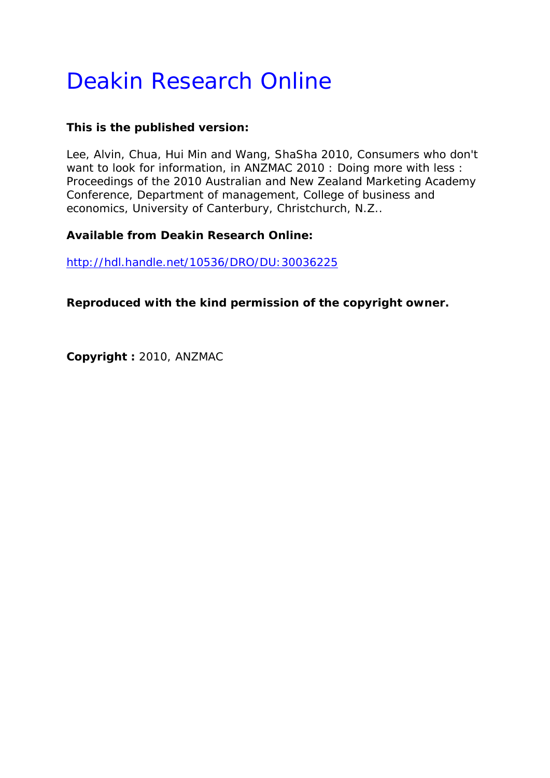# Deakin Research Online

# **This is the published version:**

Lee, Alvin, Chua, Hui Min and Wang, ShaSha 2010, Consumers who don't want to look for information*, in ANZMAC 2010 : Doing more with less : Proceedings of the 2010 Australian and New Zealand Marketing Academy Conference*, Department of management, College of business and economics, University of Canterbury, Christchurch, N.Z..

# **Available from Deakin Research Online:**

http://hdl.handle.net/10536/DRO/DU:30036225

**Reproduced with the kind permission of the copyright owner.** 

**Copyright :** 2010, ANZMAC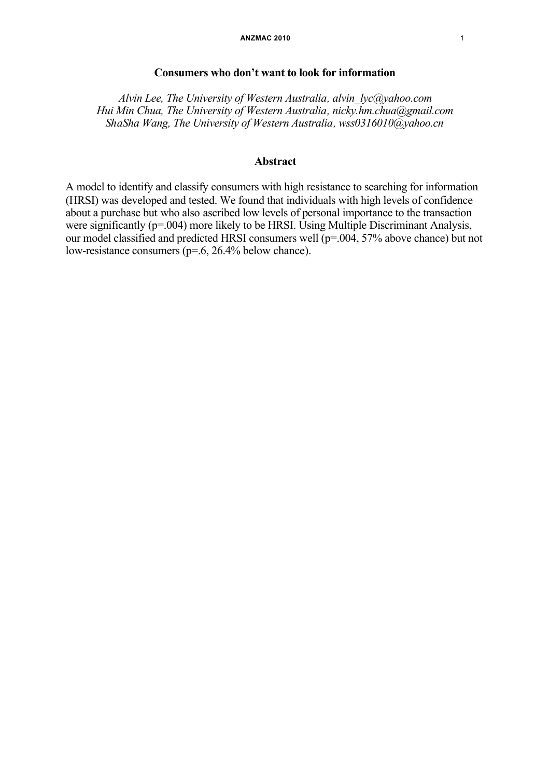# **Consumers who don't want to look for information**

*Alvin Lee, The University of Western Australia, alvin\_lyc@yahoo.com Hui Min Chua, The University of Western Australia, nicky.hm.chua@gmail.com ShaSha Wang, The University of Western Australia, wss0316010@yahoo.cn*

# **Abstract**

A model to identify and classify consumers with high resistance to searching for information (HRSI) was developed and tested. We found that individuals with high levels of confidence about a purchase but who also ascribed low levels of personal importance to the transaction were significantly ( $p=0.004$ ) more likely to be HRSI. Using Multiple Discriminant Analysis, our model classified and predicted HRSI consumers well (p=.004, 57% above chance) but not low-resistance consumers (p=.6, 26.4% below chance).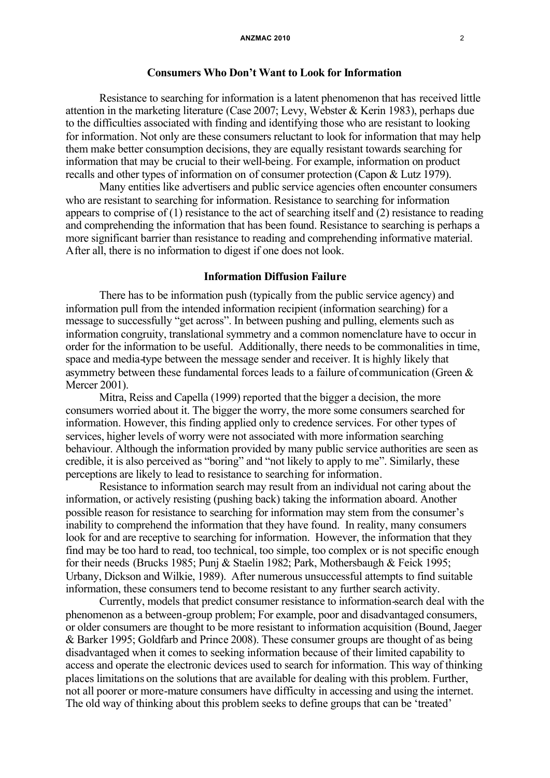## **Consumers Who Don't Want to Look for Information**

Resistance to searching for information is a latent phenomenon that has received little attention in the marketing literature (Case 2007; Levy, Webster & Kerin 1983), perhaps due to the difficulties associated with finding and identifying those who are resistant to looking for information. Not only are these consumers reluctant to look for information that may help them make better consumption decisions, they are equally resistant towards searching for information that may be crucial to their well-being. For example, information on product recalls and other types of information on of consumer protection (Capon & Lutz 1979).

Many entities like advertisers and public service agencies often encounter consumers who are resistant to searching for information. Resistance to searching for information appears to comprise of (1) resistance to the act of searching itself and (2) resistance to reading and comprehending the information that has been found. Resistance to searching is perhaps a more significant barrier than resistance to reading and comprehending informative material. After all, there is no information to digest if one does not look.

# **Information Diffusion Failure**

There has to be information push (typically from the public service agency) and information pull from the intended information recipient (information searching) for a message to successfully "get across". In between pushing and pulling, elements such as information congruity, translational symmetry and a common nomenclature have to occur in order for the information to be useful. Additionally, there needs to be commonalities in time, space and media-type between the message sender and receiver. It is highly likely that asymmetry between these fundamental forces leads to a failure of communication (Green & Mercer 2001).

Mitra, Reiss and Capella (1999) reported that the bigger a decision, the more consumers worried about it. The bigger the worry, the more some consumers searched for information. However, this finding applied only to credence services. For other types of services, higher levels of worry were not associated with more information searching behaviour. Although the information provided by many public service authorities are seen as credible, it is also perceived as "boring" and "not likely to apply to me". Similarly, these perceptions are likely to lead to resistance to searching for information.

Resistance to information search may result from an individual not caring about the information, or actively resisting (pushing back) taking the information aboard. Another possible reason for resistance to searching for information may stem from the consumer's inability to comprehend the information that they have found. In reality, many consumers look for and are receptive to searching for information. However, the information that they find may be too hard to read, too technical, too simple, too complex or is not specific enough for their needs (Brucks 1985; Punj & Staelin 1982; Park, Mothersbaugh & Feick 1995; Urbany, Dickson and Wilkie, 1989). After numerous unsuccessful attempts to find suitable information, these consumers tend to become resistant to any further search activity.

Currently, models that predict consumer resistance to information-search deal with the phenomenon as a between-group problem; For example, poor and disadvantaged consumers, or older consumers are thought to be more resistant to information acquisition (Bound, Jaeger & Barker 1995; Goldfarb and Prince 2008). These consumer groups are thought of as being disadvantaged when it comes to seeking information because of their limited capability to access and operate the electronic devices used to search for information. This way of thinking places limitations on the solutions that are available for dealing with this problem. Further, not all poorer or more-mature consumers have difficulty in accessing and using the internet. The old way of thinking about this problem seeks to define groups that can be 'treated'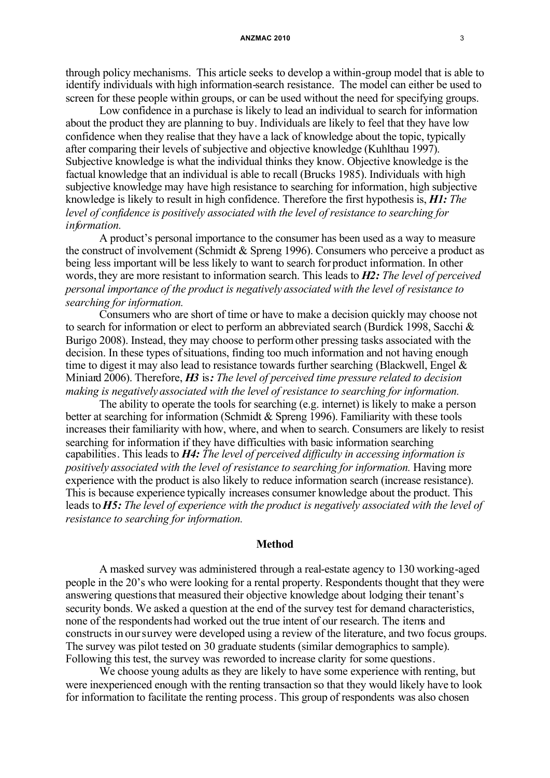#### **ANZMAC 2010** 3

through policy mechanisms. This article seeks to develop a within-group model that is able to identify individuals with high information-search resistance. The model can either be used to screen for these people within groups, or can be used without the need for specifying groups.

Low confidence in a purchase is likely to lead an individual to search for information about the product they are planning to buy. Individuals are likely to feel that they have low confidence when they realise that they have a lack of knowledge about the topic, typically after comparing their levels of subjective and objective knowledge (Kuhlthau 1997). Subjective knowledge is what the individual thinks they know. Objective knowledge is the factual knowledge that an individual is able to recall (Brucks 1985). Individuals with high subjective knowledge may have high resistance to searching for information, high subjective knowledge is likely to result in high confidence. Therefore the first hypothesis is, *H1: The level of confidence is positively associated with the level of resistance to searching for information.*

A product's personal importance to the consumer has been used as a way to measure the construct of involvement (Schmidt & Spreng 1996). Consumers who perceive a product as being less important will be less likely to want to search for product information. In other words, they are more resistant to information search. This leads to *H2: The level of perceived personal importance of the product is negatively associated with the level of resistance to searching for information.*

Consumers who are short of time or have to make a decision quickly may choose not to search for information or elect to perform an abbreviated search (Burdick 1998, Sacchi & Burigo 2008). Instead, they may choose to performother pressing tasks associated with the decision. In these types of situations, finding too much information and not having enough time to digest it may also lead to resistance towards further searching (Blackwell, Engel & Miniard 2006). Therefore, *H3* is*: The level of perceived time pressure related to decision making is negatively associated with the level of resistance to searching for information.*

The ability to operate the tools for searching (e.g. internet) is likely to make a person better at searching for information (Schmidt & Spreng 1996). Familiarity with these tools increases their familiarity with how, where, and when to search. Consumers are likely to resist searching for information if they have difficulties with basic information searching capabilities. This leads to *H4: The level of perceived difficulty in accessing information is positively associated with the level of resistance to searching for information.* Having more experience with the product is also likely to reduce information search (increase resistance). This is because experience typically increases consumer knowledge about the product. This leads to *H5: The level of experience with the product is negatively associated with the level of resistance to searching for information.*

### **Method**

A masked survey was administered through a real-estate agency to 130 working-aged people in the 20's who were looking for a rental property. Respondents thought that they were answering questions that measured their objective knowledge about lodging their tenant's security bonds. We asked a question at the end of the survey test for demand characteristics, none of the respondents had worked out the true intent of our research. The items and constructs in oursurvey were developed using a review of the literature, and two focus groups. The survey was pilot tested on 30 graduate students (similar demographics to sample). Following this test, the survey was reworded to increase clarity for some questions.

We choose young adults as they are likely to have some experience with renting, but were inexperienced enough with the renting transaction so that they would likely have to look for information to facilitate the renting process. This group of respondents was also chosen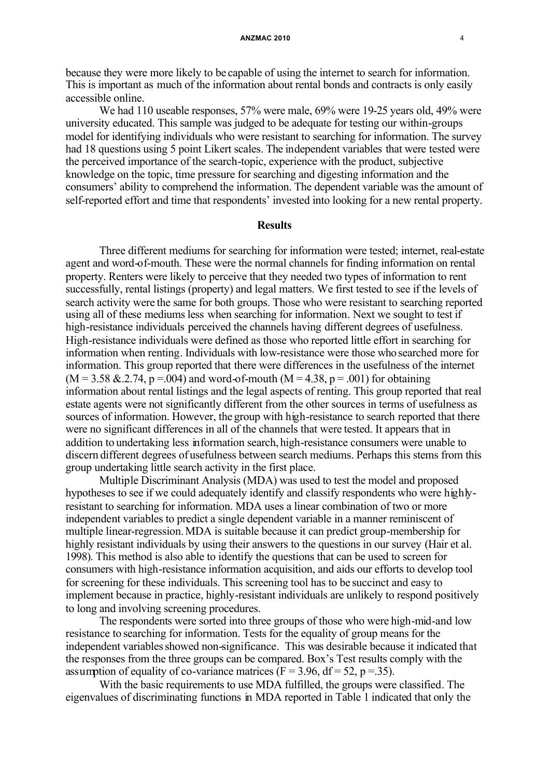because they were more likely to be capable of using the internet to search for information. This is important as much of the information about rental bonds and contracts is only easily accessible online.

We had 110 useable responses, 57% were male, 69% were 19-25 years old, 49% were university educated. This sample was judged to be adequate for testing our within-groups model for identifying individuals who were resistant to searching for information. The survey had 18 questions using 5 point Likert scales. The independent variables that were tested were the perceived importance of the search-topic, experience with the product, subjective knowledge on the topic, time pressure for searching and digesting information and the consumers' ability to comprehend the information. The dependent variable was the amount of self-reported effort and time that respondents' invested into looking for a new rental property.

# **Results**

Three different mediums for searching for information were tested; internet, real-estate agent and word-of-mouth. These were the normal channels for finding information on rental property. Renters were likely to perceive that they needed two types of information to rent successfully, rental listings (property) and legal matters. We first tested to see if the levels of search activity were the same for both groups. Those who were resistant to searching reported using all of these mediums less when searching for information. Next we sought to test if high-resistance individuals perceived the channels having different degrees of usefulness. High-resistance individuals were defined as those who reported little effort in searching for information when renting. Individuals with low-resistance were those who searched more for information. This group reported that there were differences in the usefulness of the internet  $(M = 3.58 \& 0.2.74, p = 0.004)$  and word-of-mouth  $(M = 4.38, p = 0.01)$  for obtaining information about rental listings and the legal aspects of renting. This group reported that real estate agents were not significantly different from the other sources in terms of usefulness as sources of information. However, the group with high-resistance to search reported that there were no significant differences in all of the channels that were tested. It appears that in addition to undertaking less information search, high-resistance consumers were unable to discern different degrees of usefulness between search mediums. Perhaps this stems from this group undertaking little search activity in the first place.

Multiple Discriminant Analysis (MDA) was used to test the model and proposed hypotheses to see if we could adequately identify and classify respondents who were highlyresistant to searching for information. MDA uses a linear combination of two or more independent variables to predict a single dependent variable in a manner reminiscent of multiple linear-regression.MDA is suitable because it can predict group-membership for highly resistant individuals by using their answers to the questions in our survey (Hair et al. 1998). This method is also able to identify the questions that can be used to screen for consumers with high-resistance information acquisition, and aids our efforts to develop tool for screening for these individuals. This screening tool has to be succinct and easy to implement because in practice, highly-resistant individuals are unlikely to respond positively to long and involving screening procedures.

The respondents were sorted into three groups of those who were high-mid-and low resistance to searching for information. Tests for the equality of group means for the independent variables showed non-significance. This was desirable because it indicated that the responses from the three groups can be compared. Box's Test results comply with the assumption of equality of co-variance matrices  $(F = 3.96, df = 52, p = .35)$ .

With the basic requirements to use MDA fulfilled, the groups were classified. The eigenvalues of discriminating functions in MDA reported in Table 1 indicated that only the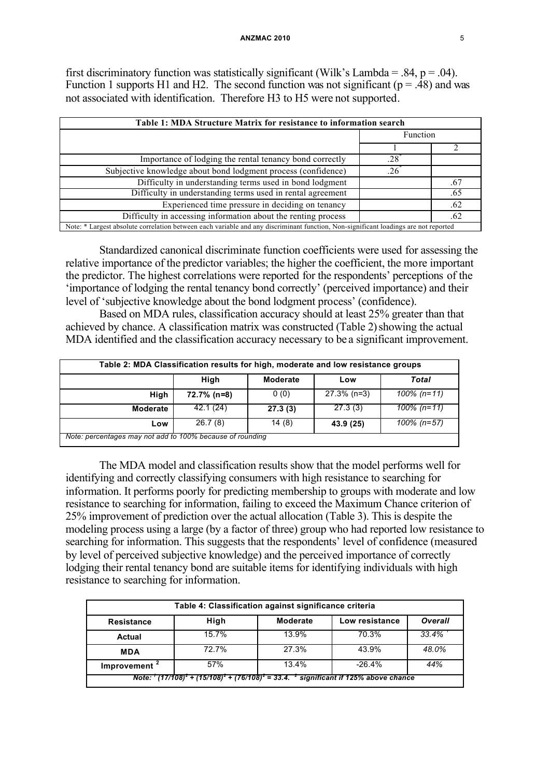first discriminatory function was statistically significant (Wilk's Lambda = .84, p = .04). Function 1 supports H1 and H2. The second function was not significant ( $p = .48$ ) and was not associated with identification. Therefore H3 to H5 were not supported.

| Table 1: MDA Structure Matrix for resistance to information search                                                                  |             |     |  |  |
|-------------------------------------------------------------------------------------------------------------------------------------|-------------|-----|--|--|
|                                                                                                                                     | Function    |     |  |  |
|                                                                                                                                     |             |     |  |  |
| Importance of lodging the rental tenancy bond correctly                                                                             | $.28^\circ$ |     |  |  |
| Subjective knowledge about bond lodgment process (confidence)                                                                       | 26          |     |  |  |
| Difficulty in understanding terms used in bond lodgment                                                                             |             | .67 |  |  |
| Difficulty in understanding terms used in rental agreement                                                                          |             | .65 |  |  |
| Experienced time pressure in deciding on tenancy                                                                                    |             | .62 |  |  |
| Difficulty in accessing information about the renting process                                                                       |             | .62 |  |  |
| Note: * Largest absolute correlation between each variable and any discriminant function, Non-significant loadings are not reported |             |     |  |  |

Standardized canonical discriminate function coefficients were used for assessing the relative importance of the predictor variables; the higher the coefficient, the more important the predictor. The highest correlations were reported for the respondents' perceptions of the 'importance of lodging the rental tenancy bond correctly' (perceived importance) and their level of 'subjective knowledge about the bond lodgment process' (confidence).

Based on MDA rules, classification accuracy should at least 25% greater than that achieved by chance. A classification matrix was constructed (Table 2) showing the actual MDA identified and the classification accuracy necessary to be a significant improvement.

| Table 2: MDA Classification results for high, moderate and low resistance groups |             |                 |                |                |  |  |
|----------------------------------------------------------------------------------|-------------|-----------------|----------------|----------------|--|--|
|                                                                                  | High        | <b>Moderate</b> | Low            | Total          |  |  |
| High                                                                             | 72.7% (n=8) | 0(0)            | $27.3\%$ (n=3) | $100\%$ (n=11) |  |  |
| <b>Moderate</b>                                                                  | 42.1 (24)   | 27.3(3)         | 27.3(3)        | $100\%$ (n=11) |  |  |
| Low                                                                              | 26.7(8)     | 14(8)           | 43.9 (25)      | $100\%$ (n=57) |  |  |
| Note: percentages may not add to 100% because of rounding                        |             |                 |                |                |  |  |

The MDA model and classification results show that the model performs well for identifying and correctly classifying consumers with high resistance to searching for information. It performs poorly for predicting membership to groups with moderate and low resistance to searching for information, failing to exceed the Maximum Chance criterion of 25% improvement of prediction over the actual allocation (Table 3). This is despite the modeling process using a large (by a factor of three) group who had reported low resistance to searching for information. This suggests that the respondents' level of confidence (measured by level of perceived subjective knowledge) and the perceived importance of correctly lodging their rental tenancy bond are suitable items for identifying individuals with high resistance to searching for information.

| Table 4: Classification against significance criteria                                            |       |          |                |                |  |  |
|--------------------------------------------------------------------------------------------------|-------|----------|----------------|----------------|--|--|
| Resistance                                                                                       | High  | Moderate | Low resistance | <b>Overall</b> |  |  |
| Actual                                                                                           | 15.7% | 13.9%    | 70.3%          | 33.4%          |  |  |
| <b>MDA</b>                                                                                       | 72.7% | 27.3%    | 43.9%          | 48.0%          |  |  |
| Improvement <sup>2</sup>                                                                         | 57%   | 13.4%    | $-26.4%$       | 44%            |  |  |
| Note: $(17/108)^2$ + $(15/108)^2$ + $(76/108)^2$ = 33.4. $\leq$ significant if 125% above chance |       |          |                |                |  |  |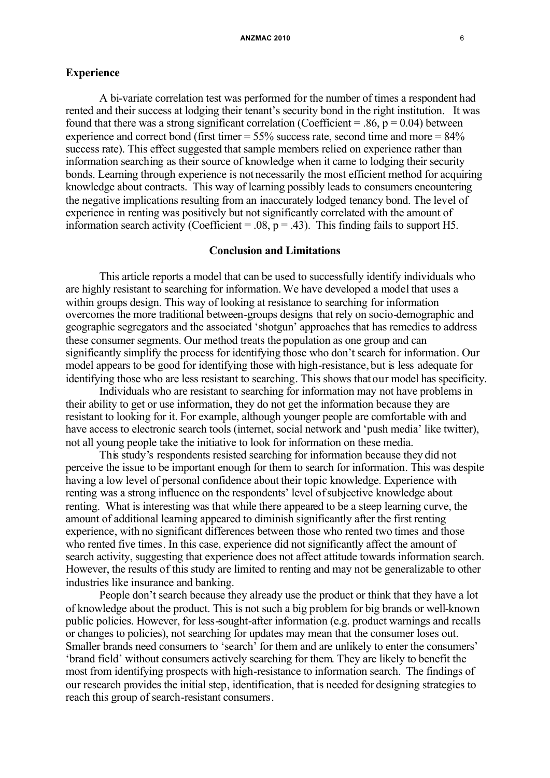# **Experience**

A bi-variate correlation test was performed for the number of times a respondent had rented and their success at lodging their tenant's security bond in the right institution. It was found that there was a strong significant correlation (Coefficient = .86,  $p = 0.04$ ) between experience and correct bond (first timer  $= 55\%$  success rate, second time and more  $= 84\%$ ) success rate). This effect suggested that sample members relied on experience rather than information searching as their source of knowledge when it came to lodging their security bonds. Learning through experience is not necessarily the most efficient method for acquiring knowledge about contracts. This way of learning possibly leads to consumers encountering the negative implications resulting from an inaccurately lodged tenancy bond. The level of experience in renting was positively but not significantly correlated with the amount of information search activity (Coefficient = .08,  $p = .43$ ). This finding fails to support H5.

# **Conclusion and Limitations**

This article reports a model that can be used to successfully identify individuals who are highly resistant to searching for information. We have developed a model that uses a within groups design. This way of looking at resistance to searching for information overcomes the more traditional between-groups designs that rely on socio-demographic and geographic segregators and the associated 'shotgun' approaches that has remedies to address these consumer segments. Our method treats the population as one group and can significantly simplify the process for identifying those who don't search for information. Our model appears to be good for identifying those with high-resistance, but is less adequate for identifying those who are less resistant to searching. This shows that our model has specificity.

Individuals who are resistant to searching for information may not have problems in their ability to get or use information, they do not get the information because they are resistant to looking for it. For example, although younger people are comfortable with and have access to electronic search tools (internet, social network and 'push media' like twitter), not all young people take the initiative to look for information on these media.

This study's respondents resisted searching for information because they did not perceive the issue to be important enough for them to search for information. This was despite having a low level of personal confidence about their topic knowledge. Experience with renting was a strong influence on the respondents' level ofsubjective knowledge about renting. What is interesting was that while there appeared to be a steep learning curve, the amount of additional learning appeared to diminish significantly after the first renting experience, with no significant differences between those who rented two times and those who rented five times. In this case, experience did not significantly affect the amount of search activity, suggesting that experience does not affect attitude towards information search. However, the results of this study are limited to renting and may not be generalizable to other industries like insurance and banking.

People don't search because they already use the product or think that they have a lot of knowledge about the product. This is not such a big problem for big brands or well-known public policies. However, for less-sought-after information (e.g. product warnings and recalls or changes to policies), not searching for updates may mean that the consumer loses out. Smaller brands need consumers to 'search' for them and are unlikely to enter the consumers' 'brand field' without consumers actively searching for them. They are likely to benefit the most from identifying prospects with high-resistance to information search. The findings of our research provides the initial step, identification, that is needed for designing strategies to reach this group of search-resistant consumers.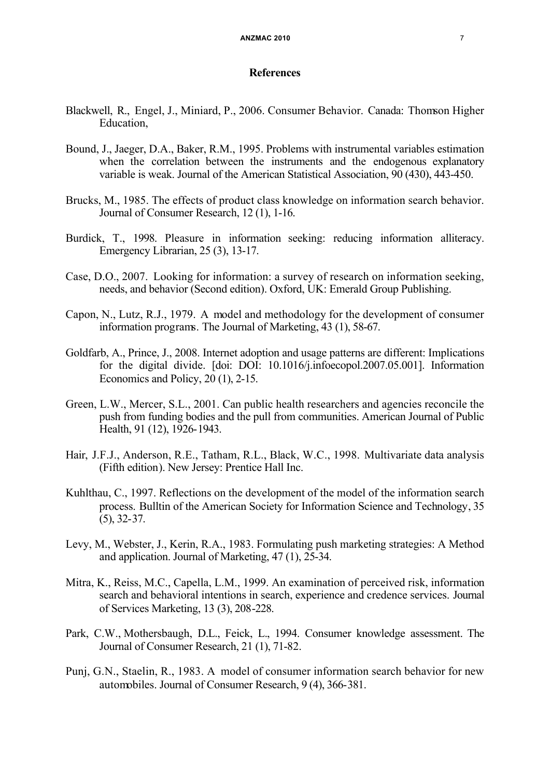# **References**

- Blackwell, R., Engel, J., Miniard, P., 2006. Consumer Behavior. Canada: Thomson Higher Education,
- Bound, J., Jaeger, D.A., Baker, R.M., 1995. Problems with instrumental variables estimation when the correlation between the instruments and the endogenous explanatory variable is weak. Journal of the American Statistical Association, 90 (430), 443-450.
- Brucks, M., 1985. The effects of product class knowledge on information search behavior. Journal of Consumer Research, 12 (1), 1-16.
- Burdick, T., 1998. Pleasure in information seeking: reducing information alliteracy. Emergency Librarian, 25 (3), 13-17.
- Case, D.O., 2007. Looking for information: a survey of research on information seeking, needs, and behavior (Second edition). Oxford, UK: Emerald Group Publishing.
- Capon, N., Lutz, R.J., 1979. A model and methodology for the development of consumer information programs. The Journal of Marketing, 43 (1), 58-67.
- Goldfarb, A., Prince, J., 2008. Internet adoption and usage patterns are different: Implications for the digital divide. [doi: DOI: 10.1016/j.infoecopol.2007.05.001]. Information Economics and Policy, 20 (1), 2-15.
- Green, L.W., Mercer, S.L., 2001. Can public health researchers and agencies reconcile the push from funding bodies and the pull from communities. American Journal of Public Health, 91 (12), 1926-1943.
- Hair, J.F.J., Anderson, R.E., Tatham, R.L., Black, W.C., 1998. Multivariate data analysis (Fifth edition). New Jersey: Prentice Hall Inc.
- Kuhlthau, C., 1997. Reflections on the development of the model of the information search process. Bulltin of the American Society for Information Science and Technology, 35 (5), 32-37.
- Levy, M., Webster, J., Kerin, R.A., 1983. Formulating push marketing strategies: A Method and application. Journal of Marketing, 47 (1), 25-34.
- Mitra, K., Reiss, M.C., Capella, L.M., 1999. An examination of perceived risk, information search and behavioral intentions in search, experience and credence services. Journal of Services Marketing, 13 (3), 208-228.
- Park, C.W., Mothersbaugh, D.L., Feick, L., 1994. Consumer knowledge assessment. The Journal of Consumer Research, 21 (1), 71-82.
- Punj, G.N., Staelin, R., 1983. A model of consumer information search behavior for new automobiles. Journal of Consumer Research, 9 (4), 366-381.